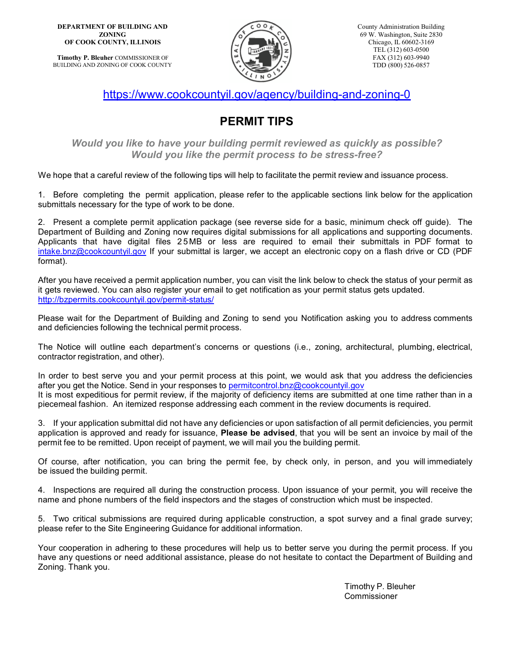**DEPARTMENT OF BUILDING AND ZONING OF COOK COUNTY, ILLINOIS**

**Timothy P. Bleuher** COMMISSIONER OF BUILDING AND ZONING OF COOK COUNTY



<https://www.cookcountyil.gov/agency/building-and-zoning-0>

## **PERMIT TIPS**

*Would you like to have your building permit reviewed as quickly as possible? Would you like the permit process to be stress-free?*

We hope that a careful review of the following tips will help to facilitate the permit review and issuance process.

1. Before completing the permit application, please refer to the applicable sections link below for the application submittals necessary for the type of work to be done.

2. Present a complete permit application package (see reverse side for a basic, minimum check off guide). The Department of Building and Zoning now requires digital submissions for all applications and supporting documents. Applicants that have digital files 2 5 MB or less are required to email their submittals in PDF format to [intake.bnz@cookcountyil.gov](mailto:intake.bnz@cookcountyil.gov?subject=Permit%20Application%20for%20%5BInsert%20Address%5D) If your submittal is larger, we accept an electronic copy on a flash drive or CD (PDF format).

After you have received a permit application number, you can visit the link below to check the status of your permit as it gets reviewed. You can also register your email to get notification as your permit status gets updated. <http://bzpermits.cookcountyil.gov/permit-status/>

Please wait for the Department of Building and Zoning to send you Notification asking you to address comments and deficiencies following the technical permit process.

The Notice will outline each department's concerns or questions (i.e., zoning, architectural, plumbing, electrical, contractor registration, and other).

In order to best serve you and your permit process at this point, we would ask that you address the deficiencies after you get the Notice. Send in your responses to [permitcontrol.bnz@cookcountyil.gov](mailto:permitcontrol.bnz@cookcountyil.gov) It is most expeditious for permit review, if the majority of deficiency items are submitted at one time rather than in a piecemeal fashion. An itemized response addressing each comment in the review documents is required.

3. If your application submittal did not have any deficiencies or upon satisfaction of all permit deficiencies, you permit application is approved and ready for issuance, **Please be advised**, that you will be sent an invoice by mail of the permit fee to be remitted. Upon receipt of payment, we will mail you the building permit.

Of course, after notification, you can bring the permit fee, by check only, in person, and you will immediately be issued the building permit.

4. Inspections are required all during the construction process. Upon issuance of your permit, you will receive the name and phone numbers of the field inspectors and the stages of construction which must be inspected.

5. Two critical submissions are required during applicable construction, a spot survey and a final grade survey; please refer to the Site Engineering Guidance for additional information.

Your cooperation in adhering to these procedures will help us to better serve you during the permit process. If you have any questions or need additional assistance, please do not hesitate to contact the Department of Building and Zoning. Thank you.

> Timothy P. Bleuher Commissioner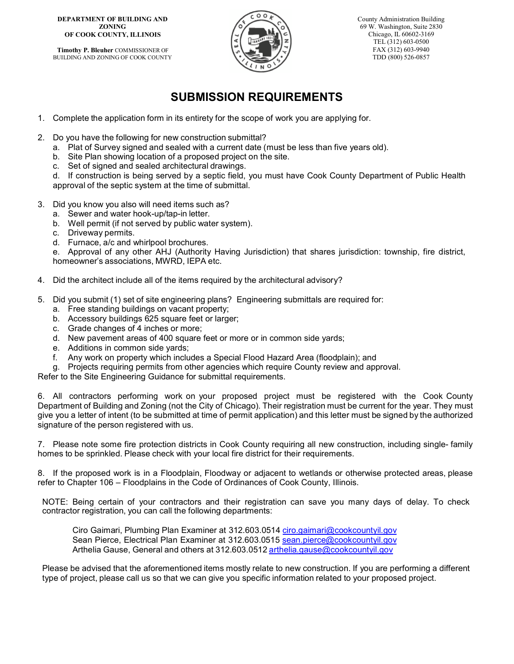## **DEPARTMENT OF BUILDING AND ZONING OF COOK COUNTY, ILLINOIS**

**Timothy P. Bleuher** COMMISSIONER OF BUILDING AND ZONING OF COOK COUNTY



County Administration Building 69 W. Washington, Suite 2830 Chicago, IL 60602-3169 TEL (312) 603-0500 FAX (312) 603-9940 TDD (800) 526-0857

## **SUBMISSION REQUIREMENTS**

- 1. Complete the application form in its entirety for the scope of work you are applying for.
- 2. Do you have the following for new construction submittal?
	- a. Plat of Survey signed and sealed with a current date (must be less than five years old).
	- b. Site Plan showing location of a proposed project on the site.
	- c. Set of signed and sealed architectural drawings.

d. If construction is being served by a septic field, you must have Cook County Department of Public Health approval of the septic system at the time of submittal.

- 3. Did you know you also will need items such as?
	- a. Sewer and water hook-up/tap-in letter.
	- b. Well permit (if not served by public water system).
	- c. Driveway permits.
	- d. Furnace, a/c and whirlpool brochures.

e. Approval of any other AHJ (Authority Having Jurisdiction) that shares jurisdiction: township, fire district, homeowner's associations, MWRD, IEPA etc.

- 4. Did the architect include all of the items required by the architectural advisory?
- 5. Did you submit (1) set of site engineering plans? Engineering submittals are required for:
	- a. Free standing buildings on vacant property;
	- b. Accessory buildings 625 square feet or larger;
	- c. Grade changes of 4 inches or more;
	- d. New pavement areas of 400 square feet or more or in common side yards;
	- e. Additions in common side yards;
	- f. Any work on property which includes a Special Flood Hazard Area (floodplain); and
	- g. Projects requiring permits from other agencies which require County review and approval.

Refer to the Site Engineering Guidance for submittal requirements.

6. All contractors performing work on your proposed project must be registered with the Cook County Department of Building and Zoning (not the City of Chicago). Their registration must be current for the year. They must give you a letter of intent (to be submitted at time of permit application) and this letter must be signed by the authorized signature of the person registered with us.

7. Please note some fire protection districts in Cook County requiring all new construction, including single- family homes to be sprinkled. Please check with your local fire district for their requirements.

8. If the proposed work is in a Floodplain, Floodway or adjacent to wetlands or otherwise protected areas, please refer to Chapter 106 – Floodplains in the Code of Ordinances of Cook County, Illinois.

NOTE: Being certain of your contractors and their registration can save you many days of delay. To check contractor registration, you can call the following departments:

Ciro Gaimari, Plumbing Plan Examiner at 312.603.0514 [ciro.gaimari@cookcountyil.gov](mailto:ciro.gaimari@cookcountyil.gov) Sean Pierce, Electrical Plan Examiner at 312.603.0515 [sean.pierce@cookcountyil.gov](mailto:sean.pierce@cookcountyil.gov) Arthelia Gause, General and others at 312.603.0512 [arthelia.gause@cookcountyil.gov](mailto:arthelia.gause@cookcountyil.gov)

Please be advised that the aforementioned items mostly relate to new construction. If you are performing a different type of project, please call us so that we can give you specific information related to your proposed project.